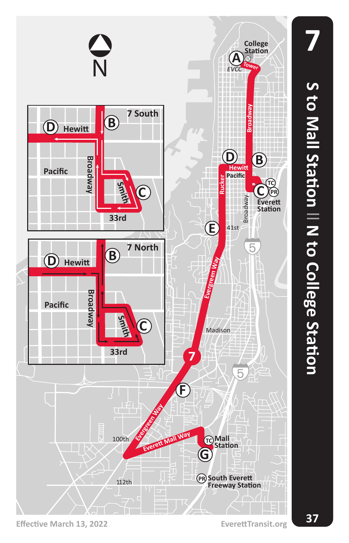

**S to Mall Station**  $\, = \,$  **N to College Station**

**7**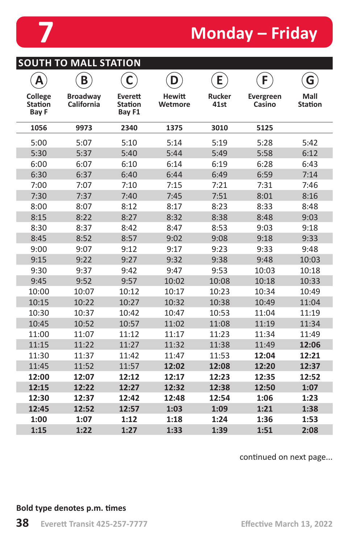

# **7 Monday – Friday**

|                                           | <b>SOUTH TO MALL STATION</b>         |                                     |                          |                       |                     |                        |
|-------------------------------------------|--------------------------------------|-------------------------------------|--------------------------|-----------------------|---------------------|------------------------|
| A                                         | B                                    |                                     | D                        | E                     | F.                  | G                      |
| College<br><b>Station</b><br><b>Bay F</b> | <b>Broadway</b><br><b>California</b> | Everett<br><b>Station</b><br>Bay F1 | <b>Hewitt</b><br>Wetmore | <b>Rucker</b><br>41st | Evergreen<br>Casino | Mall<br><b>Station</b> |
| 1056                                      | 9973                                 | 2340                                | 1375                     | 3010                  | 5125                |                        |
| 5:00                                      | 5:07                                 | 5:10                                | 5:14                     | 5:19                  | 5:28                | 5:42                   |
| 5:30                                      | 5:37                                 | 5:40                                | 5:44                     | 5:49                  | 5:58                | 6:12                   |
| 6:00                                      | 6:07                                 | 6:10                                | 6:14                     | 6:19                  | 6:28                | 6:43                   |
| 6:30                                      | 6:37                                 | 6:40                                | 6:44                     | 6:49                  | 6:59                | 7:14                   |
| 7:00                                      | 7:07                                 | 7:10                                | 7:15                     | 7:21                  | 7:31                | 7:46                   |
| 7:30                                      | 7:37                                 | 7:40                                | 7:45                     | 7:51                  | 8:01                | 8:16                   |
| 8:00                                      | 8:07                                 | 8:12                                | 8:17                     | 8:23                  | 8:33                | 8:48                   |
| 8:15                                      | 8:22                                 | 8:27                                | 8:32                     | 8:38                  | 8:48                | 9:03                   |
| 8:30                                      | 8:37                                 | 8:42                                | 8:47                     | 8:53                  | 9:03                | 9:18                   |
| 8:45                                      | 8:52                                 | 8:57                                | 9:02                     | 9:08                  | 9:18                | 9:33                   |
| 9:00                                      | 9:07                                 | 9:12                                | 9:17                     | 9:23                  | 9:33                | 9:48                   |
| 9:15                                      | 9:22                                 | 9:27                                | 9:32                     | 9:38                  | 9:48                | 10:03                  |
| 9:30                                      | 9:37                                 | 9:42                                | 9:47                     | 9:53                  | 10:03               | 10:18                  |
| 9:45                                      | 9:52                                 | 9:57                                | 10:02                    | 10:08                 | 10:18               | 10:33                  |
| 10:00                                     | 10:07                                | 10:12                               | 10:17                    | 10:23                 | 10:34               | 10:49                  |
| 10:15                                     | 10:22                                | 10:27                               | 10:32                    | 10:38                 | 10:49               | 11:04                  |
| 10:30                                     | 10:37                                | 10:42                               | 10:47                    | 10:53                 | 11:04               | 11:19                  |
| 10:45                                     | 10:52                                | 10:57                               | 11:02                    | 11:08                 | 11:19               | 11:34                  |
| 11:00                                     | 11:07                                | 11:12                               | 11:17                    | 11:23                 | 11:34               | 11:49                  |
| 11:15                                     | 11:22                                | 11:27                               | 11:32                    | 11:38                 | 11:49               | 12:06                  |
| 11:30                                     | 11:37                                | 11:42                               | 11:47                    | 11:53                 | 12:04               | 12:21                  |
| 11:45                                     | 11:52                                | 11:57                               | 12:02                    | 12:08                 | 12:20               | 12:37                  |
| 12:00                                     | 12:07                                | 12:12                               | 12:17                    | 12:23                 | 12:35               | 12:52                  |
| 12:15                                     | 12:22                                | 12:27                               | 12:32                    | 12:38                 | 12:50               | 1:07                   |
| 12:30                                     | 12:37                                | 12:42                               | 12:48                    | 12:54                 | 1:06                | 1:23                   |
| 12:45                                     | 12:52                                | 12:57                               | 1:03                     | 1:09                  | 1:21                | 1:38                   |
| 1:00                                      | 1:07                                 | 1:12                                | 1:18                     | 1:24                  | 1:36                | 1:53                   |
| 1:15                                      | 1:22                                 | 1:27                                | 1:33                     | 1:39                  | 1:51                | 2:08                   |

continued on next page...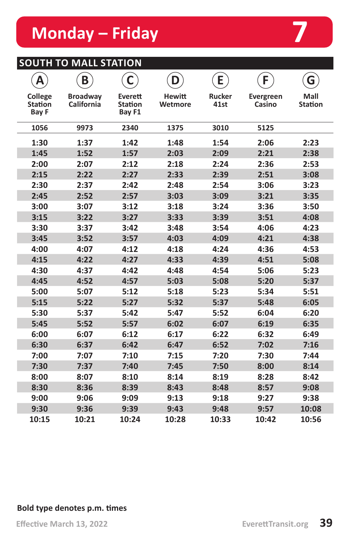# **Monday – Friday 7**

# **SOUTH TO MALL STATION**

| Α                                         | B                             | C                            | D                        | E                     | F.                  | G                      |
|-------------------------------------------|-------------------------------|------------------------------|--------------------------|-----------------------|---------------------|------------------------|
| College<br><b>Station</b><br><b>Bay F</b> | <b>Broadway</b><br>California | Everett<br>Station<br>Bay F1 | <b>Hewitt</b><br>Wetmore | <b>Rucker</b><br>41st | Evergreen<br>Casino | Mall<br><b>Station</b> |
| 1056                                      | 9973                          | 2340                         | 1375                     | 3010                  | 5125                |                        |
| 1:30                                      | 1:37                          | 1:42                         | 1:48                     | 1:54                  | 2:06                | 2:23                   |
| 1:45                                      | 1:52                          | 1:57                         | 2:03                     | 2:09                  | 2:21                | 2:38                   |
| 2:00                                      | 2:07                          | 2:12                         | 2:18                     | 2:24                  | 2:36                | 2:53                   |
| 2:15                                      | 2:22                          | 2:27                         | 2:33                     | 2:39                  | 2:51                | 3:08                   |
| 2:30                                      | 2:37                          | 2:42                         | 2:48                     | 2:54                  | 3:06                | 3:23                   |
| 2:45                                      | 2:52                          | 2:57                         | 3:03                     | 3:09                  | 3:21                | 3:35                   |
| 3:00                                      | 3:07                          | 3:12                         | 3:18                     | 3:24                  | 3:36                | 3:50                   |
| 3:15                                      | 3:22                          | 3:27                         | 3:33                     | 3:39                  | 3:51                | 4:08                   |
| 3:30                                      | 3:37                          | 3:42                         | 3:48                     | 3:54                  | 4:06                | 4:23                   |
| 3:45                                      | 3:52                          | 3:57                         | 4:03                     | 4:09                  | 4:21                | 4:38                   |
| 4:00                                      | 4:07                          | 4:12                         | 4:18                     | 4:24                  | 4:36                | 4:53                   |
| 4:15                                      | 4:22                          | 4:27                         | 4:33                     | 4:39                  | 4:51                | 5:08                   |
| 4:30                                      | 4:37                          | 4:42                         | 4:48                     | 4:54                  | 5:06                | 5:23                   |
| 4:45                                      | 4:52                          | 4:57                         | 5:03                     | 5:08                  | 5:20                | 5:37                   |
| 5:00                                      | 5:07                          | 5:12                         | 5:18                     | 5:23                  | 5:34                | 5:51                   |
| 5:15                                      | 5:22                          | 5:27                         | 5:32                     | 5:37                  | 5:48                | 6:05                   |
| 5:30                                      | 5:37                          | 5:42                         | 5:47                     | 5:52                  | 6:04                | 6:20                   |
| 5:45                                      | 5:52                          | 5:57                         | 6:02                     | 6:07                  | 6:19                | 6:35                   |
| 6:00                                      | 6:07                          | 6:12                         | 6:17                     | 6:22                  | 6:32                | 6:49                   |
| 6:30                                      | 6:37                          | 6:42                         | 6:47                     | 6:52                  | 7:02                | 7:16                   |
| 7:00                                      | 7:07                          | 7:10                         | 7:15                     | 7:20                  | 7:30                | 7:44                   |
| 7:30                                      | 7:37                          | 7:40                         | 7:45                     | 7:50                  | 8:00                | 8:14                   |
| 8:00                                      | 8:07                          | 8:10                         | 8:14                     | 8:19                  | 8:28                | 8:42                   |
| 8:30                                      | 8:36                          | 8:39                         | 8:43                     | 8:48                  | 8:57                | 9:08                   |
| 9:00                                      | 9:06                          | 9:09                         | 9:13                     | 9:18                  | 9:27                | 9:38                   |
| 9:30                                      | 9:36                          | 9:39                         | 9:43                     | 9:48                  | 9:57                | 10:08                  |
| 10:15                                     | 10:21                         | 10:24                        | 10:28                    | 10:33                 | 10:42               | 10:56                  |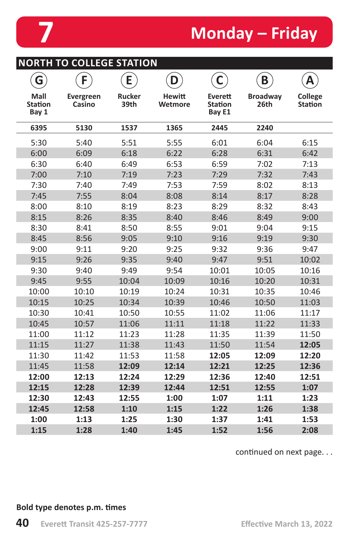

**NORTH TO COLLEGE STATION**

# **7 Monday – Friday**

|                                 | <b>INURTH TO COLLEGE STATION</b> |                       |                          |                                     |                         |                           |
|---------------------------------|----------------------------------|-----------------------|--------------------------|-------------------------------------|-------------------------|---------------------------|
| G                               | F                                | E                     | D                        | $\mathsf{C}$                        | B                       | Д                         |
| Mall<br><b>Station</b><br>Bay 1 | Evergreen<br>Casino              | <b>Rucker</b><br>39th | <b>Hewitt</b><br>Wetmore | Everett<br><b>Station</b><br>Bay E1 | <b>Broadway</b><br>26th | College<br><b>Station</b> |
| 6395                            | 5130                             | 1537                  | 1365                     | 2445                                | 2240                    |                           |
| 5:30                            | 5:40                             | 5:51                  | 5:55                     | 6:01                                | 6:04                    | 6:15                      |
| 6:00                            | 6:09                             | 6:18                  | 6:22                     | 6:28                                | 6:31                    | 6:42                      |
| 6:30                            | 6:40                             | 6:49                  | 6:53                     | 6:59                                | 7:02                    | 7:13                      |
| 7:00                            | 7:10                             | 7:19                  | 7:23                     | 7:29                                | 7:32                    | 7:43                      |
| 7:30                            | 7:40                             | 7:49                  | 7:53                     | 7:59                                | 8:02                    | 8:13                      |
| 7:45                            | 7:55                             | 8:04                  | 8:08                     | 8:14                                | 8:17                    | 8:28                      |
| 8:00                            | 8:10                             | 8:19                  | 8:23                     | 8:29                                | 8:32                    | 8:43                      |
| 8:15                            | 8:26                             | 8:35                  | 8:40                     | 8:46                                | 8:49                    | 9:00                      |
| 8:30                            | 8:41                             | 8:50                  | 8:55                     | 9:01                                | 9:04                    | 9:15                      |
| 8:45                            | 8:56                             | 9:05                  | 9:10                     | 9:16                                | 9:19                    | 9:30                      |
| 9:00                            | 9:11                             | 9:20                  | 9:25                     | 9:32                                | 9:36                    | 9:47                      |
| 9:15                            | 9:26                             | 9:35                  | 9:40                     | 9:47                                | 9:51                    | 10:02                     |
| 9:30                            | 9:40                             | 9:49                  | 9:54                     | 10:01                               | 10:05                   | 10:16                     |
| 9:45                            | 9:55                             | 10:04                 | 10:09                    | 10:16                               | 10:20                   | 10:31                     |
| 10:00                           | 10:10                            | 10:19                 | 10:24                    | 10:31                               | 10:35                   | 10:46                     |
| 10:15                           | 10:25                            | 10:34                 | 10:39                    | 10:46                               | 10:50                   | 11:03                     |
| 10:30                           | 10:41                            | 10:50                 | 10:55                    | 11:02                               | 11:06                   | 11:17                     |
| 10:45                           | 10:57                            | 11:06                 | 11:11                    | 11:18                               | 11:22                   | 11:33                     |
| 11:00                           | 11:12                            | 11:23                 | 11:28                    | 11:35                               | 11:39                   | 11:50                     |
| 11:15                           | 11:27                            | 11:38                 | 11:43                    | 11:50                               | 11:54                   | 12:05                     |
| 11:30                           | 11:42                            | 11:53                 | 11:58                    | 12:05                               | 12:09                   | 12:20                     |
| 11:45                           | 11:58                            | 12:09                 | 12:14                    | 12:21                               | 12:25                   | 12:36                     |
| 12:00                           | 12:13                            | 12:24                 | 12:29                    | 12:36                               | 12:40                   | 12:51                     |
| 12:15                           | 12:28                            | 12:39                 | 12:44                    | 12:51                               | 12:55                   | 1:07                      |
| 12:30                           | 12:43                            | 12:55                 | 1:00                     | 1:07                                | 1:11                    | 1:23                      |
| 12:45                           | 12:58                            | 1:10                  | 1:15                     | 1:22                                | 1:26                    | 1:38                      |
| 1:00                            | 1:13                             | 1:25                  | 1:30                     | 1:37                                | 1:41                    | 1:53                      |
| 1:15                            | 1:28                             | 1:40                  | 1:45                     | 1:52                                | 1:56                    | 2:08                      |

continued on next page. . .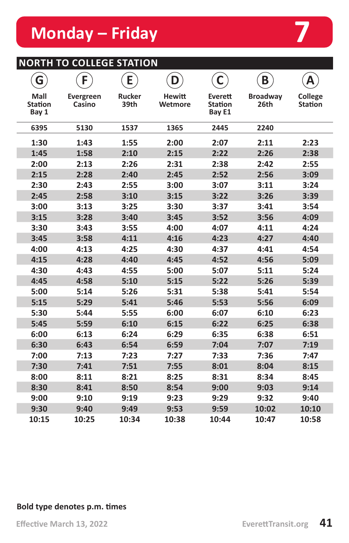# **NORTH TO COLLEGE STATION**

| G                               | F                   | E                     | D                        | C                                   | B                       | A                         |
|---------------------------------|---------------------|-----------------------|--------------------------|-------------------------------------|-------------------------|---------------------------|
| Mall<br><b>Station</b><br>Bay 1 | Evergreen<br>Casino | <b>Rucker</b><br>39th | <b>Hewitt</b><br>Wetmore | Everett<br><b>Station</b><br>Bay E1 | <b>Broadway</b><br>26th | College<br><b>Station</b> |
| 6395                            | 5130                | 1537                  | 1365                     | 2445                                | 2240                    |                           |
| 1:30                            | 1:43                | 1:55                  | 2:00                     | 2:07                                | 2:11                    | 2:23                      |
| 1:45                            | 1:58                | 2:10                  | 2:15                     | 2:22                                | 2:26                    | 2:38                      |
| 2:00                            | 2:13                | 2:26                  | 2:31                     | 2:38                                | 2:42                    | 2:55                      |
| 2:15                            | 2:28                | 2:40                  | 2:45                     | 2:52                                | 2:56                    | 3:09                      |
| 2:30                            | 2:43                | 2:55                  | 3:00                     | 3:07                                | 3:11                    | 3:24                      |
| 2:45                            | 2:58                | 3:10                  | 3:15                     | 3:22                                | 3:26                    | 3:39                      |
| 3:00                            | 3:13                | 3:25                  | 3:30                     | 3:37                                | 3:41                    | 3:54                      |
| 3:15                            | 3:28                | 3:40                  | 3:45                     | 3:52                                | 3:56                    | 4:09                      |
| 3:30                            | 3:43                | 3:55                  | 4:00                     | 4:07                                | 4:11                    | 4:24                      |
| 3:45                            | 3:58                | 4:11                  | 4:16                     | 4:23                                | 4:27                    | 4:40                      |
| 4:00                            | 4:13                | 4:25                  | 4:30                     | 4:37                                | 4:41                    | 4:54                      |
| 4:15                            | 4:28                | 4:40                  | 4:45                     | 4:52                                | 4:56                    | 5:09                      |
| 4:30                            | 4:43                | 4:55                  | 5:00                     | 5:07                                | 5:11                    | 5:24                      |
| 4:45                            | 4:58                | 5:10                  | 5:15                     | 5:22                                | 5:26                    | 5:39                      |
| 5:00                            | 5:14                | 5:26                  | 5:31                     | 5:38                                | 5:41                    | 5:54                      |
| 5:15                            | 5:29                | 5:41                  | 5:46                     | 5:53                                | 5:56                    | 6:09                      |
| 5:30                            | 5:44                | 5:55                  | 6:00                     | 6:07                                | 6:10                    | 6:23                      |
| 5:45                            | 5:59                | 6:10                  | 6:15                     | 6:22                                | 6:25                    | 6:38                      |
| 6:00                            | 6:13                | 6:24                  | 6:29                     | 6:35                                | 6:38                    | 6:51                      |
| 6:30                            | 6:43                | 6:54                  | 6:59                     | 7:04                                | 7:07                    | 7:19                      |
| 7:00                            | 7:13                | 7:23                  | 7:27                     | 7:33                                | 7:36                    | 7:47                      |
| 7:30                            | 7:41                | 7:51                  | 7:55                     | 8:01                                | 8:04                    | 8:15                      |
| 8:00                            | 8:11                | 8:21                  | 8:25                     | 8:31                                | 8:34                    | 8:45                      |
| 8:30                            | 8:41                | 8:50                  | 8:54                     | 9:00                                | 9:03                    | 9:14                      |
| 9:00                            | 9:10                | 9:19                  | 9:23                     | 9:29                                | 9:32                    | 9:40                      |
| 9:30                            | 9:40                | 9:49                  | 9:53                     | 9:59                                | 10:02                   | 10:10                     |
| 10:15                           | 10:25               | 10:34                 | 10:38                    | 10:44                               | 10:47                   | 10:58                     |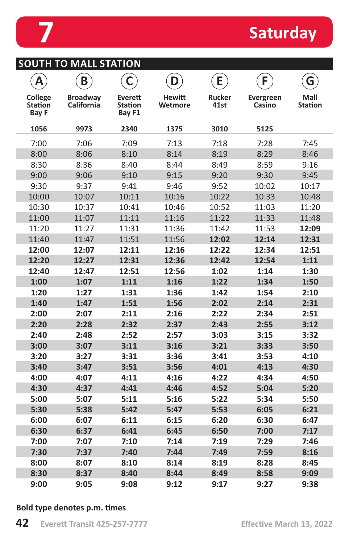

| SOUTH TO MALL STATION |  |  |
|-----------------------|--|--|

| A                                  | B                             | C                                          | D                        | E                     | F                          | G                      |
|------------------------------------|-------------------------------|--------------------------------------------|--------------------------|-----------------------|----------------------------|------------------------|
| College<br><b>Station</b><br>Bay F | <b>Broadway</b><br>California | <b>Everett</b><br><b>Station</b><br>Bay F1 | <b>Hewitt</b><br>Wetmore | <b>Rucker</b><br>41st | <b>Evergreen</b><br>Casino | Mall<br><b>Station</b> |
| 1056                               | 9973                          | 2340                                       | 1375                     | 3010                  | 5125                       |                        |
| 7:00                               | 7:06                          | 7:09                                       | 7:13                     | 7:18                  | 7:28                       | 7:45                   |
| 8:00                               | 8:06                          | 8:10                                       | 8:14                     | 8:19                  | 8:29                       | 8:46                   |
| 8:30                               | 8:36                          | 8:40                                       | 8:44                     | 8:49                  | 8:59                       | 9:16                   |
| 9:00                               | 9:06                          | 9:10                                       | 9:15                     | 9:20                  | 9:30                       | 9:45                   |
| 9:30                               | 9:37                          | 9:41                                       | 9:46                     | 9:52                  | 10:02                      | 10:17                  |
| 10:00                              | 10:07                         | 10:11                                      | 10:16                    | 10:22                 | 10:33                      | 10:48                  |
| 10:30                              | 10:37                         | 10:41                                      | 10:46                    | 10:52                 | 11:03                      | 11:20                  |
| 11:00                              | 11:07                         | 11:11                                      | 11:16                    | 11:22                 | 11:33                      | 11:48                  |
| 11:20                              | 11:27                         | 11:31                                      | 11:36                    | 11:42                 | 11:53                      | 12:09                  |
| 11:40                              | 11:47                         | 11:51                                      | 11:56                    | 12:02                 | 12:14                      | 12:31                  |
| 12:00                              | 12:07                         | 12:11                                      | 12:16                    | 12:22                 | 12:34                      | 12:51                  |
| 12:20                              | 12:27                         | 12:31                                      | 12:36                    | 12:42                 | 12:54                      | 1:11                   |
| 12:40                              | 12:47                         | 12:51                                      | 12:56                    | 1:02                  | 1:14                       | 1:30                   |
| 1:00                               | 1:07                          | 1:11                                       | 1:16                     | 1:22                  | 1:34                       | 1:50                   |
| 1:20                               | 1:27                          | 1:31                                       | 1:36                     | 1:42                  | 1:54                       | 2:10                   |
| 1:40                               | 1:47                          | 1:51                                       | 1:56                     | 2:02                  | 2:14                       | 2:31                   |
| 2:00                               | 2:07                          | 2:11                                       | 2:16                     | 2:22                  | 2:34                       | 2:51                   |
| 2:20                               | 2:28                          | 2:32                                       | 2:37                     | 2:43                  | 2:55                       | 3:12                   |
| 2:40                               | 2:48                          | 2:52                                       | 2:57                     | 3:03                  | 3:15                       | 3:32                   |
| 3:00                               | 3:07                          | 3:11                                       | 3:16                     | 3:21                  | 3:33                       | 3:50                   |
| 3:20                               | 3:27                          | 3:31                                       | 3:36                     | 3:41                  | 3:53                       | 4:10                   |
| 3:40                               | 3:47                          | 3:51                                       | 3:56                     | 4:01                  | 4:13                       | 4:30                   |
| 4:00                               | 4:07                          | 4:11                                       | 4:16                     | 4:22                  | 4:34                       | 4:50                   |
| 4:30                               | 4:37                          | 4:41                                       | 4:46                     | 4:52                  | 5:04                       | 5:20                   |
| 5:00                               | 5:07                          | 5:11                                       | 5:16                     | 5:22                  | 5:34                       | 5:50                   |
| 5:30                               | 5:38                          | 5:42                                       | 5:47                     | 5:53                  | 6:05                       | 6:21                   |
| 6:00                               | 6:07                          | 6:11                                       | 6:15                     | 6:20                  | 6:30                       | 6:47                   |
| 6:30                               | 6:37                          | 6:41                                       | 6:45                     | 6:50                  | 7:00                       | 7:17                   |
| 7:00                               | 7:07                          | 7:10                                       | 7:14                     | 7:19                  | 7:29                       | 7:46                   |
| 7:30                               | 7:37                          | 7:40                                       | 7:44                     | 7:49                  | 7:59                       | 8:16                   |
| 8:00                               | 8:07                          | 8:10                                       | 8:14                     | 8:19                  | 8:28                       | 8:45                   |
| 8:30                               | 8:37                          | 8:40                                       | 8:44                     | 8:49                  | 8:58                       | 9:09                   |
| 9:00                               | 9:05                          | 9:08                                       | 9:12                     | 9:17                  | 9:27                       | 9:38                   |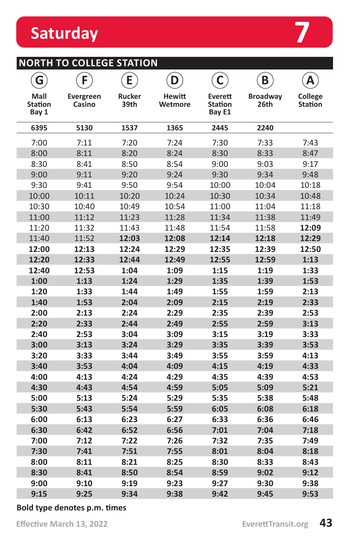| 8:30                         | 8:41 | 8:50 | 8:54 |  |  |  |  |
|------------------------------|------|------|------|--|--|--|--|
| 9:00                         | 9:10 | 9:19 | 9:23 |  |  |  |  |
| 9:15                         | 9:25 | 9:34 | 9:38 |  |  |  |  |
| Bold type denotes p.m. times |      |      |      |  |  |  |  |

| <b>NORTH TO COLLEGE STATION</b> |  |  |
|---------------------------------|--|--|
|                                 |  |  |

| G                               | F                   | E              | D                        | C                                   | B                       | Α                                |
|---------------------------------|---------------------|----------------|--------------------------|-------------------------------------|-------------------------|----------------------------------|
| Mall<br><b>Station</b><br>Bay 1 | Evergreen<br>Casino | Rucker<br>39th | <b>Hewitt</b><br>Wetmore | Everett<br><b>Station</b><br>Bay E1 | <b>Broadway</b><br>26th | <b>College</b><br><b>Station</b> |
| 6395                            | 5130                | 1537           | 1365                     | 2445                                | 2240                    |                                  |
| 7:00                            | 7:11                | 7:20           | 7:24                     | 7:30                                | 7:33                    | 7:43                             |
| 8:00                            | 8:11                | 8:20           | 8:24                     | 8:30                                | 8:33                    | 8:47                             |
| 8:30                            | 8:41                | 8:50           | 8:54                     | 9:00                                | 9:03                    | 9:17                             |
| 9:00                            | 9:11                | 9:20           | 9:24                     | 9:30                                | 9:34                    | 9:48                             |
| 9:30                            | 9:41                | 9:50           | 9:54                     | 10:00                               | 10:04                   | 10:18                            |
| 10:00                           | 10:11               | 10:20          | 10:24                    | 10:30                               | 10:34                   | 10:48                            |
| 10:30                           | 10:40               | 10:49          | 10:54                    | 11:00                               | 11:04                   | 11:18                            |
| 11:00                           | 11:12               | 11:23          | 11:28                    | 11:34                               | 11:38                   | 11:49                            |
| 11:20                           | 11:32               | 11:43          | 11:48                    | 11:54                               | 11:58                   | 12:09                            |
| 11:40                           | 11:52               | 12:03          | 12:08                    | 12:14                               | 12:18                   | 12:29                            |
| 12:00                           | 12:13               | 12:24          | 12:29                    | 12:35                               | 12:39                   | 12:50                            |
| 12:20                           | 12:33               | 12:44          | 12:49                    | 12:55                               | 12:59                   | 1:13                             |
| 12:40                           | 12:53               | 1:04           | 1:09                     | 1:15                                | 1:19                    | 1:33                             |
| 1:00                            | 1:13                | 1:24           | 1:29                     | 1:35                                | 1:39                    | 1:53                             |
| 1:20                            | 1:33                | 1:44           | 1:49                     | 1:55                                | 1:59                    | 2:13                             |
| 1:40                            | 1:53                | 2:04           | 2:09                     | 2:15                                | 2:19                    | 2:33                             |
| 2:00                            | 2:13                | 2:24           | 2:29                     | 2:35                                | 2:39                    | 2:53                             |
| 2:20                            | 2:33                | 2:44           | 2:49                     | 2:55                                | 2:59                    | 3:13                             |
| 2:40                            | 2:53                | 3:04           | 3:09                     | 3:15                                | 3:19                    | 3:33                             |
| 3:00                            | 3:13                | 3:24           | 3:29                     | 3:35                                | 3:39                    | 3:53                             |
| 3:20                            | 3:33                | 3:44           | 3:49                     | 3:55                                | 3:59                    | 4:13                             |
| 3:40                            | 3:53                | 4:04           | 4:09                     | 4:15                                | 4:19                    | 4:33                             |
| 4:00                            | 4:13                | 4:24           | 4:29                     | 4:35                                | 4:39                    | 4:53                             |
| 4:30                            | 4:43                | 4:54           | 4:59                     | 5:05                                | 5:09                    | 5:21                             |
| 5:00                            | 5:13                | 5:24           | 5:29                     | 5:35                                | 5:38                    | 5:48                             |
| 5:30                            | 5:43                | 5:54           | 5:59                     | 6:05                                | 6:08                    | 6:18                             |
| 6:00                            | 6:13                | 6:23           | 6:27                     | 6:33                                | 6:36                    | 6:46                             |
| 6:30                            | 6:42                | 6:52           | 6:56                     | 7:01                                | 7:04                    | 7:18                             |
| 7:00                            | 7:12                | 7:22           | 7:26                     | 7:32                                | 7:35                    | 7:49                             |
| 7:30                            | 7:41                | 7:51           | 7:55                     | 8:01                                | 8:04                    | 8:18                             |
| 8:00                            | 8:11                | 8:21           | 8:25                     | 8:30                                | 8:33                    | 8:43                             |
| 8:30                            | 8:41                | 8:50           | 8:54                     | 8:59                                | 9:02                    | 9:12                             |
| 9:00                            | 9:10                | 9:19           | 9:23                     | 9:27                                | 9:30                    | 9:38                             |
| 9:15                            | 9:25                | 9:34           | 9:38                     | 9:42                                | 9:45                    | 9:53                             |

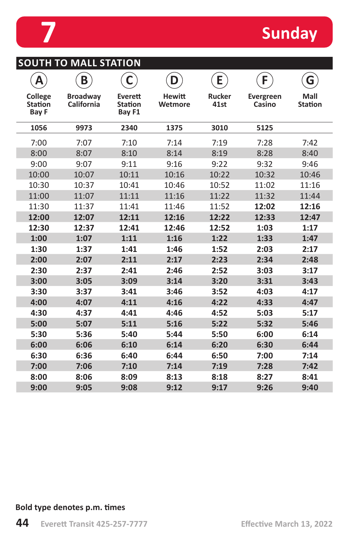

**SOUTH TO MALL STATION**

| Α                                         | B                             | C                                   | D                        | E                     | F                   | G                      |
|-------------------------------------------|-------------------------------|-------------------------------------|--------------------------|-----------------------|---------------------|------------------------|
| College<br><b>Station</b><br><b>Bay F</b> | <b>Broadway</b><br>California | Everett<br><b>Station</b><br>Bay F1 | <b>Hewitt</b><br>Wetmore | <b>Rucker</b><br>41st | Evergreen<br>Casino | Mall<br><b>Station</b> |
| 1056                                      | 9973                          | 2340                                | 1375                     | 3010                  | 5125                |                        |
| 7:00                                      | 7:07                          | 7:10                                | 7:14                     | 7:19                  | 7:28                | 7:42                   |
| 8:00                                      | 8:07                          | 8:10                                | 8:14                     | 8:19                  | 8:28                | 8:40                   |
| 9:00                                      | 9:07                          | 9:11                                | 9:16                     | 9:22                  | 9:32                | 9:46                   |
| 10:00                                     | 10:07                         | 10:11                               | 10:16                    | 10:22                 | 10:32               | 10:46                  |
| 10:30                                     | 10:37                         | 10:41                               | 10:46                    | 10:52                 | 11:02               | 11:16                  |
| 11:00                                     | 11:07                         | 11:11                               | 11:16                    | 11:22                 | 11:32               | 11:44                  |
| 11:30                                     | 11:37                         | 11:41                               | 11:46                    | 11:52                 | 12:02               | 12:16                  |
| 12:00                                     | 12:07                         | 12:11                               | 12:16                    | 12:22                 | 12:33               | 12:47                  |
| 12:30                                     | 12:37                         | 12:41                               | 12:46                    | 12:52                 | 1:03                | 1:17                   |
| 1:00                                      | 1:07                          | 1:11                                | 1:16                     | 1:22                  | 1:33                | 1:47                   |
| 1:30                                      | 1:37                          | 1:41                                | 1:46                     | 1:52                  | 2:03                | 2:17                   |
| 2:00                                      | 2:07                          | 2:11                                | 2:17                     | 2:23                  | 2:34                | 2:48                   |
| 2:30                                      | 2:37                          | 2:41                                | 2:46                     | 2:52                  | 3:03                | 3:17                   |
| 3:00                                      | 3:05                          | 3:09                                | 3:14                     | 3:20                  | 3:31                | 3:43                   |
| 3:30                                      | 3:37                          | 3:41                                | 3:46                     | 3:52                  | 4:03                | 4:17                   |
| 4:00                                      | 4:07                          | 4:11                                | 4:16                     | 4:22                  | 4:33                | 4:47                   |
| 4:30                                      | 4:37                          | 4:41                                | 4:46                     | 4:52                  | 5:03                | 5:17                   |
| 5:00                                      | 5:07                          | 5:11                                | 5:16                     | 5:22                  | 5:32                | 5:46                   |
| 5:30                                      | 5:36                          | 5:40                                | 5:44                     | 5:50                  | 6:00                | 6:14                   |
| 6:00                                      | 6:06                          | 6:10                                | 6:14                     | 6:20                  | 6:30                | 6:44                   |
| 6:30                                      | 6:36                          | 6:40                                | 6:44                     | 6:50                  | 7:00                | 7:14                   |
| 7:00                                      | 7:06                          | 7:10                                | 7:14                     | 7:19                  | 7:28                | 7:42                   |
| 8:00                                      | 8:06                          | 8:09                                | 8:13                     | 8:18                  | 8:27                | 8:41                   |

**9:00 9:05 9:08 9:12 9:17 9:26 9:40**